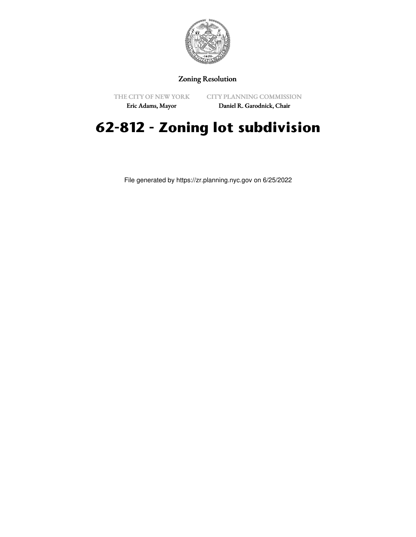

## Zoning Resolution

THE CITY OF NEW YORK

CITY PLANNING COMMISSION

Eric Adams, Mayor

Daniel R. Garodnick, Chair

## **62-812 - Zoning lot subdivision**

File generated by https://zr.planning.nyc.gov on 6/25/2022